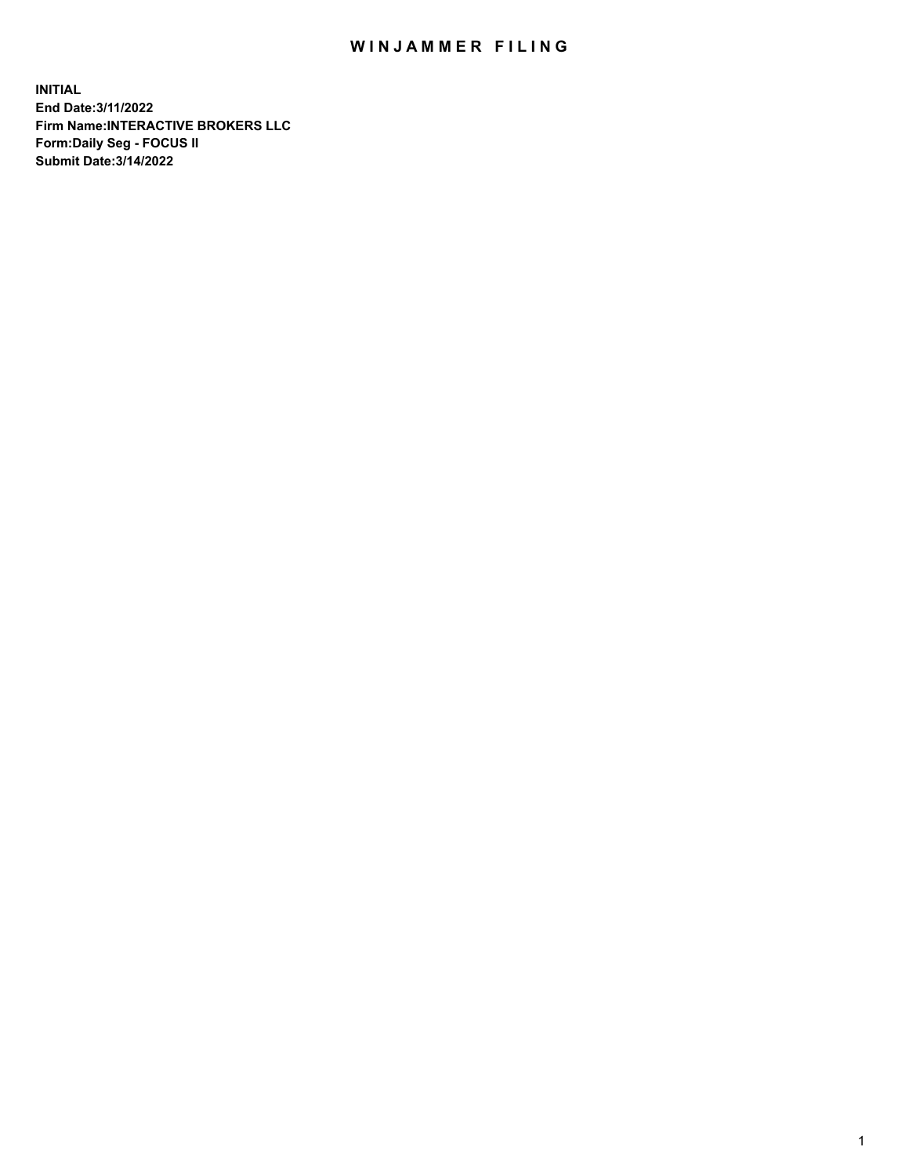## WIN JAMMER FILING

**INITIAL End Date:3/11/2022 Firm Name:INTERACTIVE BROKERS LLC Form:Daily Seg - FOCUS II Submit Date:3/14/2022**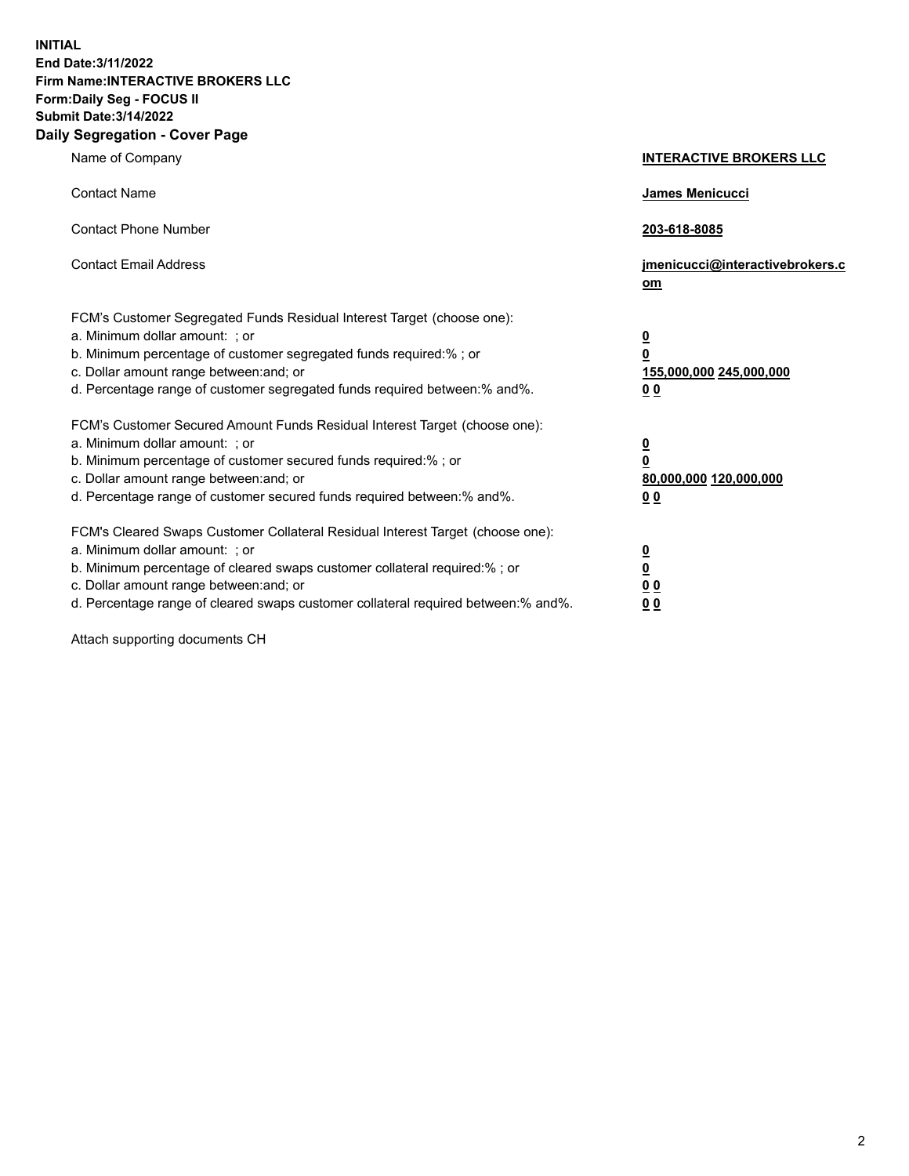**INITIAL End Date:3/11/2022 Firm Name:INTERACTIVE BROKERS LLC Form:Daily Seg - FOCUS II Submit Date:3/14/2022 Daily Segregation - Cover Page**

| Name of Company                                                                                                                                                                                                                                                                                                               | <b>INTERACTIVE BROKERS LLC</b>                                                                  |  |
|-------------------------------------------------------------------------------------------------------------------------------------------------------------------------------------------------------------------------------------------------------------------------------------------------------------------------------|-------------------------------------------------------------------------------------------------|--|
| <b>Contact Name</b>                                                                                                                                                                                                                                                                                                           | James Menicucci                                                                                 |  |
| <b>Contact Phone Number</b>                                                                                                                                                                                                                                                                                                   | 203-618-8085                                                                                    |  |
| <b>Contact Email Address</b>                                                                                                                                                                                                                                                                                                  | jmenicucci@interactivebrokers.c<br><u>om</u>                                                    |  |
| FCM's Customer Segregated Funds Residual Interest Target (choose one):<br>a. Minimum dollar amount: ; or<br>b. Minimum percentage of customer segregated funds required:% ; or<br>c. Dollar amount range between: and; or<br>d. Percentage range of customer segregated funds required between:% and%.                        | $\overline{\mathbf{0}}$<br>$\overline{\mathbf{0}}$<br>155,000,000 245,000,000<br>0 <sub>0</sub> |  |
| FCM's Customer Secured Amount Funds Residual Interest Target (choose one):<br>a. Minimum dollar amount: ; or<br>b. Minimum percentage of customer secured funds required:%; or<br>c. Dollar amount range between: and; or<br>d. Percentage range of customer secured funds required between:% and%.                           | $\overline{\mathbf{0}}$<br>$\overline{\mathbf{0}}$<br>80,000,000 120,000,000<br>0 <sub>0</sub>  |  |
| FCM's Cleared Swaps Customer Collateral Residual Interest Target (choose one):<br>a. Minimum dollar amount: ; or<br>b. Minimum percentage of cleared swaps customer collateral required:%; or<br>c. Dollar amount range between: and; or<br>d. Percentage range of cleared swaps customer collateral required between:% and%. | $\overline{\mathbf{0}}$<br>$\overline{\mathbf{0}}$<br>0 <sub>0</sub><br>0 <sub>0</sub>          |  |

Attach supporting documents CH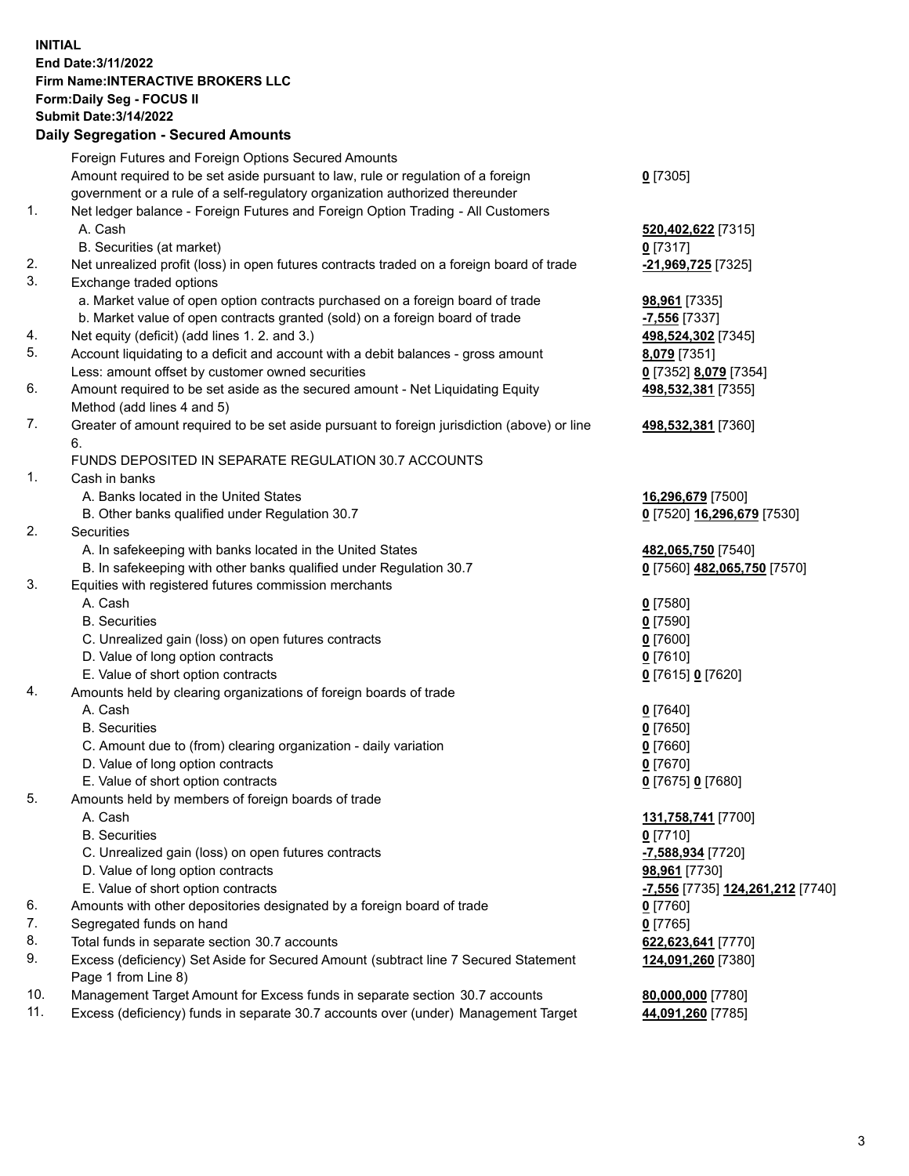**INITIAL End Date:3/11/2022 Firm Name:INTERACTIVE BROKERS LLC Form:Daily Seg - FOCUS II Submit Date:3/14/2022 Daily Segregation - Secured Amounts**

## Foreign Futures and Foreign Options Secured Amounts Amount required to be set aside pursuant to law, rule or regulation of a foreign government or a rule of a self-regulatory organization authorized thereunder **0** [7305] 1. Net ledger balance - Foreign Futures and Foreign Option Trading - All Customers A. Cash **520,402,622** [7315] B. Securities (at market) **0** [7317] 2. Net unrealized profit (loss) in open futures contracts traded on a foreign board of trade **-21,969,725** [7325] 3. Exchange traded options a. Market value of open option contracts purchased on a foreign board of trade **98,961** [7335] b. Market value of open contracts granted (sold) on a foreign board of trade **-7,556** [7337] 4. Net equity (deficit) (add lines 1. 2. and 3.) **498,524,302** [7345] 5. Account liquidating to a deficit and account with a debit balances - gross amount **8,079** [7351] Less: amount offset by customer owned securities **0** [7352] **8,079** [7354] 6. Amount required to be set aside as the secured amount - Net Liquidating Equity Method (add lines 4 and 5) **498,532,381** [7355] 7. Greater of amount required to be set aside pursuant to foreign jurisdiction (above) or line 6. **498,532,381** [7360] FUNDS DEPOSITED IN SEPARATE REGULATION 30.7 ACCOUNTS 1. Cash in banks A. Banks located in the United States **16,296,679** [7500] B. Other banks qualified under Regulation 30.7 **0** [7520] **16,296,679** [7530] 2. Securities A. In safekeeping with banks located in the United States **482,065,750** [7540] B. In safekeeping with other banks qualified under Regulation 30.7 **0** [7560] **482,065,750** [7570] 3. Equities with registered futures commission merchants A. Cash **0** [7580] B. Securities **0** [7590] C. Unrealized gain (loss) on open futures contracts **0** [7600] D. Value of long option contracts **0** [7610] E. Value of short option contracts **0** [7615] **0** [7620] 4. Amounts held by clearing organizations of foreign boards of trade A. Cash **0** [7640] B. Securities **0** [7650] C. Amount due to (from) clearing organization - daily variation **0** [7660] D. Value of long option contracts **0** [7670] E. Value of short option contracts **0** [7675] **0** [7680] 5. Amounts held by members of foreign boards of trade A. Cash **131,758,741** [7700] B. Securities **0** [7710] C. Unrealized gain (loss) on open futures contracts **-7,588,934** [7720] D. Value of long option contracts **98,961** [7730] E. Value of short option contracts **-7,556** [7735] **124,261,212** [7740] 6. Amounts with other depositories designated by a foreign board of trade **0** [7760] 7. Segregated funds on hand **0** [7765] 8. Total funds in separate section 30.7 accounts **622,623,641** [7770] 9. Excess (deficiency) Set Aside for Secured Amount (subtract line 7 Secured Statement Page 1 from Line 8) **124,091,260** [7380] 10. Management Target Amount for Excess funds in separate section 30.7 accounts **80,000,000** [7780] 11. Excess (deficiency) funds in separate 30.7 accounts over (under) Management Target **44,091,260** [7785]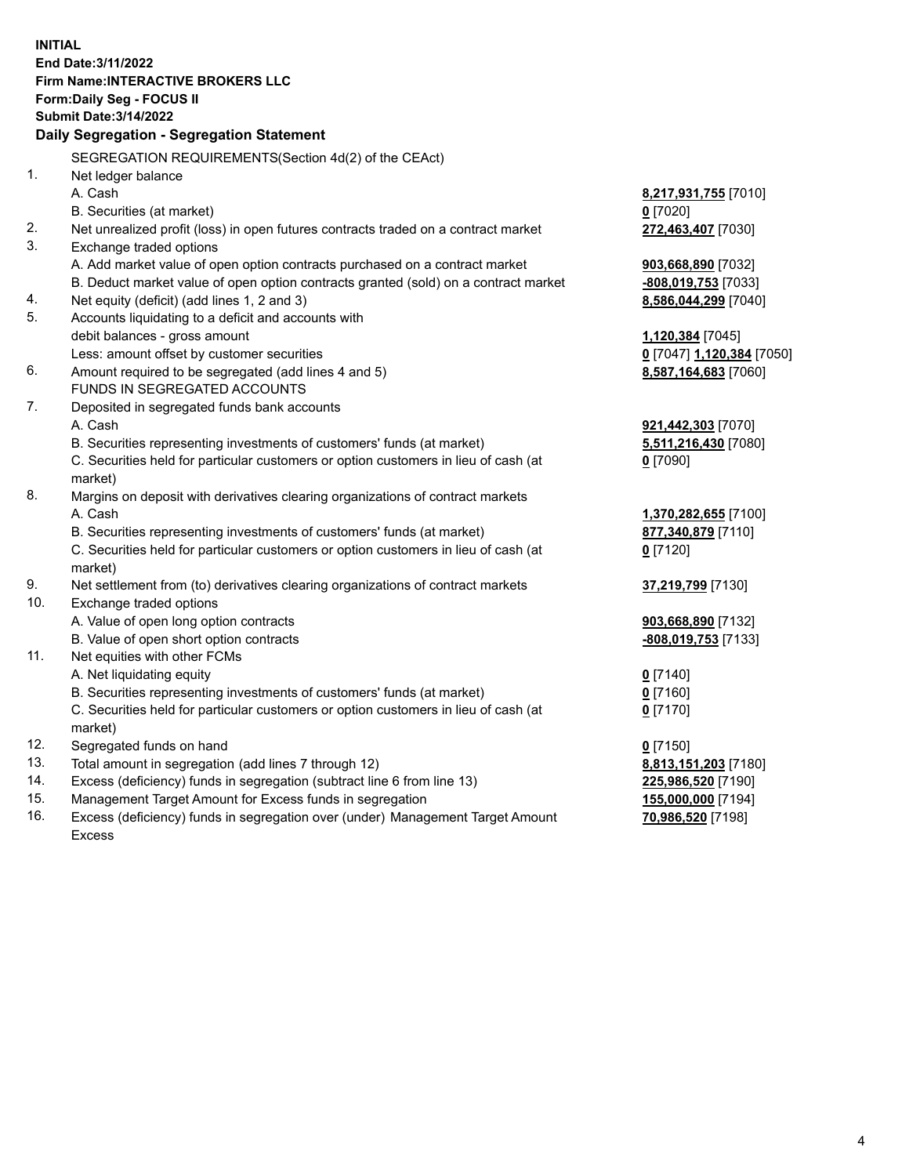**INITIAL End Date:3/11/2022 Firm Name:INTERACTIVE BROKERS LLC Form:Daily Seg - FOCUS II Submit Date:3/14/2022 Daily Segregation - Segregation Statement** SEGREGATION REQUIREMENTS(Section 4d(2) of the CEAct) 1. Net ledger balance A. Cash **8,217,931,755** [7010] B. Securities (at market) **0** [7020] 2. Net unrealized profit (loss) in open futures contracts traded on a contract market **272,463,407** [7030] 3. Exchange traded options A. Add market value of open option contracts purchased on a contract market **903,668,890** [7032] B. Deduct market value of open option contracts granted (sold) on a contract market **-808,019,753** [7033] 4. Net equity (deficit) (add lines 1, 2 and 3) **8,586,044,299** [7040] 5. Accounts liquidating to a deficit and accounts with debit balances - gross amount **1,120,384** [7045] Less: amount offset by customer securities **0** [7047] **1,120,384** [7050] 6. Amount required to be segregated (add lines 4 and 5) **8,587,164,683** [7060] FUNDS IN SEGREGATED ACCOUNTS 7. Deposited in segregated funds bank accounts A. Cash **921,442,303** [7070] B. Securities representing investments of customers' funds (at market) **5,511,216,430** [7080] C. Securities held for particular customers or option customers in lieu of cash (at market) **0** [7090] 8. Margins on deposit with derivatives clearing organizations of contract markets A. Cash **1,370,282,655** [7100] B. Securities representing investments of customers' funds (at market) **877,340,879** [7110] C. Securities held for particular customers or option customers in lieu of cash (at market) **0** [7120] 9. Net settlement from (to) derivatives clearing organizations of contract markets **37,219,799** [7130] 10. Exchange traded options A. Value of open long option contracts **903,668,890** [7132] B. Value of open short option contracts **-808,019,753** [7133] 11. Net equities with other FCMs A. Net liquidating equity **0** [7140] B. Securities representing investments of customers' funds (at market) **0** [7160] C. Securities held for particular customers or option customers in lieu of cash (at market) **0** [7170] 12. Segregated funds on hand **0** [7150] 13. Total amount in segregation (add lines 7 through 12) **8,813,151,203** [7180] 14. Excess (deficiency) funds in segregation (subtract line 6 from line 13) **225,986,520** [7190] 15. Management Target Amount for Excess funds in segregation **155,000,000** [7194]

16. Excess (deficiency) funds in segregation over (under) Management Target Amount Excess

**70,986,520** [7198]